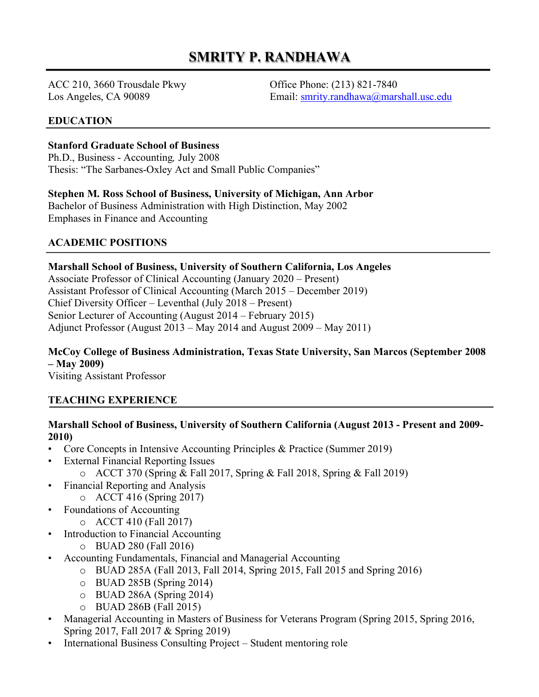# **SMRITY P. RANDHAWA**

ACC 210, 3660 Trousdale Pkwy Office Phone: (213) 821-7840

Los Angeles, CA 90089 Email: smrity.randhawa@marshall.usc.edu

#### **EDUCATION**

#### **Stanford Graduate School of Business**

Ph.D., Business - Accounting*,* July 2008 Thesis: "The Sarbanes-Oxley Act and Small Public Companies"

#### **Stephen M. Ross School of Business, University of Michigan, Ann Arbor**

Bachelor of Business Administration with High Distinction, May 2002 Emphases in Finance and Accounting

# **ACADEMIC POSITIONS**

#### **Marshall School of Business, University of Southern California, Los Angeles**

Associate Professor of Clinical Accounting (January 2020 – Present) Assistant Professor of Clinical Accounting (March 2015 – December 2019) Chief Diversity Officer – Leventhal (July 2018 – Present) Senior Lecturer of Accounting (August 2014 – February 2015) Adjunct Professor (August 2013 – May 2014 and August 2009 – May 2011)

# **McCoy College of Business Administration, Texas State University, San Marcos (September 2008 – May 2009)**

Visiting Assistant Professor

#### **TEACHING EXPERIENCE**

# **Marshall School of Business, University of Southern California (August 2013 - Present and 2009- 2010)**

- Core Concepts in Intensive Accounting Principles & Practice (Summer 2019)
- External Financial Reporting Issues
	- o ACCT 370 (Spring & Fall 2017, Spring & Fall 2018, Spring & Fall 2019)
- Financial Reporting and Analysis
	- o ACCT 416 (Spring 2017)
- Foundations of Accounting
	- o ACCT 410 (Fall 2017)
- Introduction to Financial Accounting
	- o BUAD 280 (Fall 2016)
- Accounting Fundamentals, Financial and Managerial Accounting
	- o BUAD 285A (Fall 2013, Fall 2014, Spring 2015, Fall 2015 and Spring 2016)
	- o BUAD 285B (Spring 2014)
	- o BUAD 286A (Spring 2014)
	- o BUAD 286B (Fall 2015)
- Managerial Accounting in Masters of Business for Veterans Program (Spring 2015, Spring 2016, Spring 2017, Fall 2017 & Spring 2019)
- International Business Consulting Project Student mentoring role